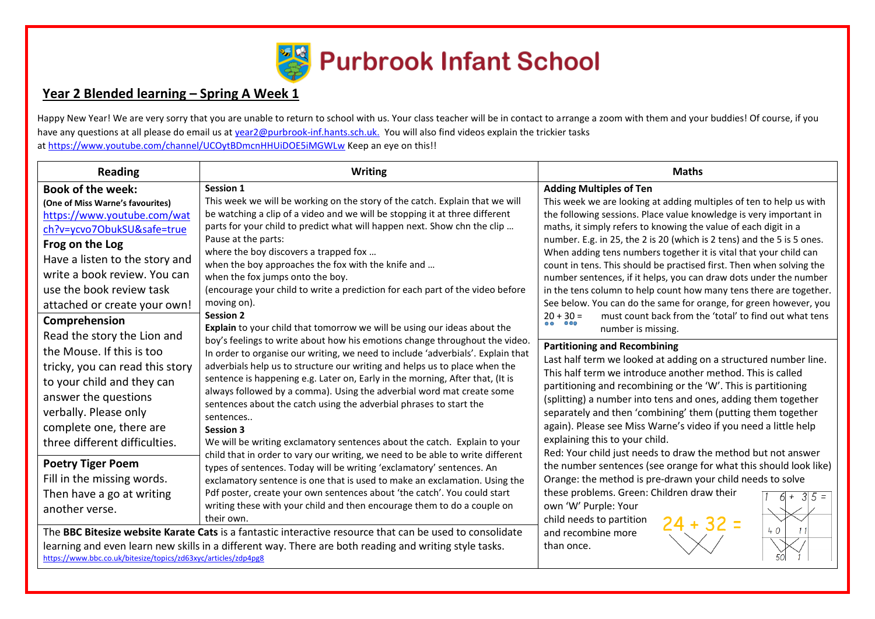

# **Year 2 Blended learning – Spring A Week 1**

Happy New Year! We are very sorry that you are unable to return to school with us. Your class teacher will be in contact to arrange a zoom with them and your buddies! Of course, if you have any questions at all please do email us at [year2@purbrook-inf.hants.sch.uk.](mailto:year2@purbrook-inf.hants.sch.uk) You will also find videos explain the trickier tasks a[t https://www.youtube.com/channel/UCOytBDmcnHHUiDOE5iMGWLw](https://www.youtube.com/channel/UCOytBDmcnHHUiDOE5iMGWLw) Keep an eye on this!!

| <b>Reading</b>                                                                                                                                                                                                                                                                              | <b>Writing</b>                                                                                                                                                                                                                                                                                                                                                                                                                                                                                                                                                                                                                                                                                                                                                                                                                                                                                                                                                                                                                                                                                                                                                                                                                                                                                                                                                                                                                                                                                                                                                                                                                                                                                                                                                                                                                                   | <b>Maths</b>                                                                                                                                                                                                                                                                                                                                                                                                                                                                                                                                                                                                                                                                                                                                                                                                       |
|---------------------------------------------------------------------------------------------------------------------------------------------------------------------------------------------------------------------------------------------------------------------------------------------|--------------------------------------------------------------------------------------------------------------------------------------------------------------------------------------------------------------------------------------------------------------------------------------------------------------------------------------------------------------------------------------------------------------------------------------------------------------------------------------------------------------------------------------------------------------------------------------------------------------------------------------------------------------------------------------------------------------------------------------------------------------------------------------------------------------------------------------------------------------------------------------------------------------------------------------------------------------------------------------------------------------------------------------------------------------------------------------------------------------------------------------------------------------------------------------------------------------------------------------------------------------------------------------------------------------------------------------------------------------------------------------------------------------------------------------------------------------------------------------------------------------------------------------------------------------------------------------------------------------------------------------------------------------------------------------------------------------------------------------------------------------------------------------------------------------------------------------------------|--------------------------------------------------------------------------------------------------------------------------------------------------------------------------------------------------------------------------------------------------------------------------------------------------------------------------------------------------------------------------------------------------------------------------------------------------------------------------------------------------------------------------------------------------------------------------------------------------------------------------------------------------------------------------------------------------------------------------------------------------------------------------------------------------------------------|
| <b>Book of the week:</b><br>(One of Miss Warne's favourites)<br>https://www.youtube.com/wat<br>ch?v=ycvo7ObukSU&safe=true<br>Frog on the Log<br>Have a listen to the story and<br>write a book review. You can<br>use the book review task<br>attached or create your own!<br>Comprehension | Session 1<br>This week we will be working on the story of the catch. Explain that we will<br>be watching a clip of a video and we will be stopping it at three different<br>parts for your child to predict what will happen next. Show chn the clip<br>Pause at the parts:<br>where the boy discovers a trapped fox<br>when the boy approaches the fox with the knife and<br>when the fox jumps onto the boy.<br>(encourage your child to write a prediction for each part of the video before<br>moving on).<br><b>Session 2</b><br>Explain to your child that tomorrow we will be using our ideas about the<br>boy's feelings to write about how his emotions change throughout the video.<br>In order to organise our writing, we need to include 'adverbials'. Explain that<br>adverbials help us to structure our writing and helps us to place when the<br>sentence is happening e.g. Later on, Early in the morning, After that, (It is<br>always followed by a comma). Using the adverbial word mat create some<br>sentences about the catch using the adverbial phrases to start the<br>sentences<br><b>Session 3</b><br>We will be writing exclamatory sentences about the catch. Explain to your<br>child that in order to vary our writing, we need to be able to write different<br>types of sentences. Today will be writing 'exclamatory' sentences. An<br>exclamatory sentence is one that is used to make an exclamation. Using the<br>Pdf poster, create your own sentences about 'the catch'. You could start<br>writing these with your child and then encourage them to do a couple on<br>their own.<br>The BBC Bitesize website Karate Cats is a fantastic interactive resource that can be used to consolidate<br>learning and even learn new skills in a different way. There are both reading and writing style tasks. | <b>Adding Multiples of Ten</b><br>This week we are looking at adding multiples of ten to help us with<br>the following sessions. Place value knowledge is very important in<br>maths, it simply refers to knowing the value of each digit in a<br>number. E.g. in 25, the 2 is 20 (which is 2 tens) and the 5 is 5 ones.<br>When adding tens numbers together it is vital that your child can<br>count in tens. This should be practised first. Then when solving the<br>number sentences, if it helps, you can draw dots under the number<br>in the tens column to help count how many tens there are together.<br>See below. You can do the same for orange, for green however, you<br>must count back from the 'total' to find out what tens<br>$20 + 30 =$<br>$\overline{\mathbf{o}}$ OO<br>number is missing. |
| Read the story the Lion and<br>the Mouse. If this is too<br>tricky, you can read this story<br>to your child and they can<br>answer the questions<br>verbally. Please only<br>complete one, there are<br>three different difficulties.                                                      |                                                                                                                                                                                                                                                                                                                                                                                                                                                                                                                                                                                                                                                                                                                                                                                                                                                                                                                                                                                                                                                                                                                                                                                                                                                                                                                                                                                                                                                                                                                                                                                                                                                                                                                                                                                                                                                  | <b>Partitioning and Recombining</b><br>Last half term we looked at adding on a structured number line.<br>This half term we introduce another method. This is called<br>partitioning and recombining or the 'W'. This is partitioning<br>(splitting) a number into tens and ones, adding them together<br>separately and then 'combining' them (putting them together<br>again). Please see Miss Warne's video if you need a little help<br>explaining this to your child.<br>Red: Your child just needs to draw the method but not answer                                                                                                                                                                                                                                                                         |
| <b>Poetry Tiger Poem</b><br>Fill in the missing words.<br>Then have a go at writing<br>another verse.<br>https://www.bbc.co.uk/bitesize/topics/zd63xyc/articles/zdp4pg8                                                                                                                     |                                                                                                                                                                                                                                                                                                                                                                                                                                                                                                                                                                                                                                                                                                                                                                                                                                                                                                                                                                                                                                                                                                                                                                                                                                                                                                                                                                                                                                                                                                                                                                                                                                                                                                                                                                                                                                                  | the number sentences (see orange for what this should look like)<br>Orange: the method is pre-drawn your child needs to solve<br>these problems. Green: Children draw their<br>$3 5 =$<br>$^{+}$<br>own 'W' Purple: Your<br>child needs to partition<br>24 + 32 =<br>40<br>and recombine more<br>than once.                                                                                                                                                                                                                                                                                                                                                                                                                                                                                                        |